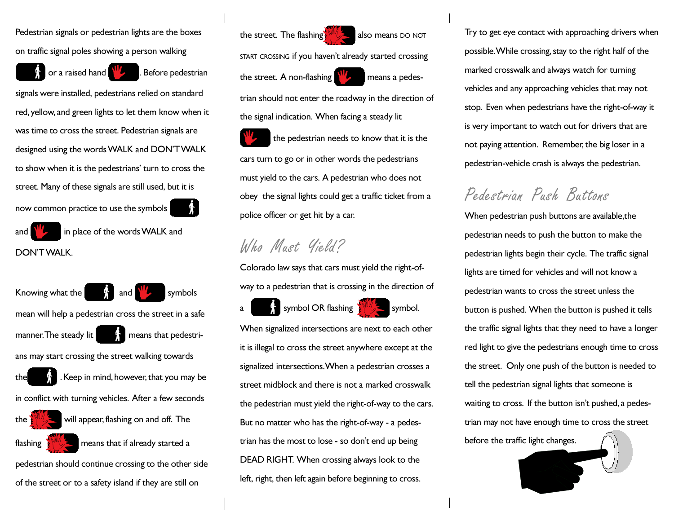Pedestrian signals or pedestrian lights are the boxes on traffic signal poles showing a person walking

or a raised hand  $\mathbf{W}_{2}$ . Before pedestrian

signals were installed, pedestrians relied on standard red, yellow, and green lights to let them know when it was time to cross the street. Pedestrian signals are designed using the words WALK and DON'T WALK to show when it is the pedestrians' turn to cross the street. Many of these signals are still used, but it is now common practice to use the symbols

and  $\left|\frac{\partial W}{\partial x}\right|$  in place of the words WALK and DON'T WALK.

Knowing what the  $\begin{bmatrix} 1 \\ 2 \end{bmatrix}$  and  $\begin{bmatrix} 1 \\ 2 \end{bmatrix}$  symbols mean will help a pedestrian cross the street in a safe manner. The steady lit  $\mathbb{R}$  means that pedestrians may start crossing the street walking towards the  $\blacksquare$ . Keep in mind, however, that you may be in conflict with turning vehicles. After a few seconds the  $\frac{1}{2}$  will appear, flashing on and off. The flashing  $\sqrt{\frac{1}{2}}$  means that if already started a pedestrian should continue crossing to the other side of the street or to a safety island if they are still on

the street. The flashing  $\frac{1}{2}$  also means DO NOT

START CROSSING if you haven't already started crossing the street. A non-flashing  $\frac{1}{2}$  means a pedes-

trian should not enter the roadway in the direction of the signal indication. When facing a steady lit

 the pedestrian needs to know that it is the cars turn to go or in other words the pedestrians must yield to the cars. A pedestrian who does not obey the signal lights could get a traffic ticket from a police officer or get hit by a car.

## Who Must Yield?

Colorado law says that cars must yield the right-ofway to a pedestrian that is crossing in the direction of

a symbol OR flashing  $\frac{1}{2}$  symbol.

When signalized intersections are next to each other it is illegal to cross the street anywhere except at the signalized intersections. When a pedestrian crosses a street midblock and there is not a marked crosswalk the pedestrian must yield the right-of-way to the cars. But no matter who has the right-of-way - a pedestrian has the most to lose - so don't end up being DEAD RIGHT. When crossing always look to the left, right, then left again before beginning to cross.

Try to get eye contact with approaching drivers when possible. While crossing, stay to the right half of the marked crosswalk and always watch for turning vehicles and any approaching vehicles that may not stop. Even when pedestrians have the right-of-way it is very important to watch out for drivers that are not paying attention. Remember, the big loser in a pedestrian-vehicle crash is always the pedestrian.

## Pedestrian Push Buttons

When pedestrian push buttons are available,the pedestrian needs to push the button to make the pedestrian lights begin their cycle. The traffic signal lights are timed for vehicles and will not know a pedestrian wants to cross the street unless the button is pushed. When the button is pushed it tells the traffic signal lights that they need to have a longer red light to give the pedestrians enough time to cross the street. Only one push of the button is needed to tell the pedestrian signal lights that someone is waiting to cross. If the button isn't pushed, a pedestrian may not have enough time to cross the street before the traffic light changes.